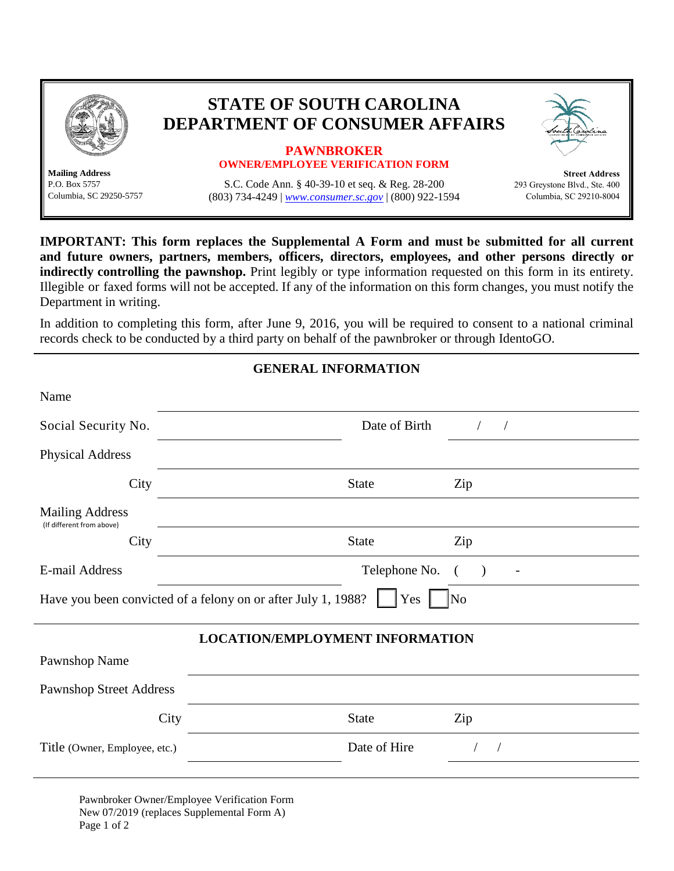

**Mailing Address**

## **STATE OF SOUTH CAROLINA DEPARTMENT OF CONSUMER AFFAIRS**

## **PAWNBROKER OWNER/EMPLOYEE VERIFICATION FORM**

P.O. Box 5757 S.C. Code Ann. § 40-39-10 et seq. & Reg. 28-200<br>Columbia, SC 29250-5757 (803) 734-4249 www.consumer.sc.gov (800) 922-15 (803) 734-4249 | *[www.consumer.sc.gov](http://www.consumer.sc.gov/)* | (800) 922-1594

**Street Address**  293 Greystone Blvd., Ste. 400 Columbia, SC 29210-8004

**IMPORTANT: This form replaces the Supplemental A Form and must be submitted for all current and future owners, partners, members, officers, directors, employees, and other persons directly or indirectly controlling the pawnshop.** Print legibly or type information requested on this form in its entirety. Illegible or faxed forms will not be accepted. If any of the information on this form changes, you must notify the Department in writing.

In addition to completing this form, after June 9, 2016, you will be required to consent to a national criminal records check to be conducted by a third party on behalf of the pawnbroker or through IdentoGO.

**GENERAL INFORMATION**

| <u>ULINLINALI INFUNNIA LIUN</u>                                             |               |           |  |
|-----------------------------------------------------------------------------|---------------|-----------|--|
| Name                                                                        |               |           |  |
| Social Security No.                                                         | Date of Birth | $\bigg)$  |  |
| <b>Physical Address</b>                                                     |               |           |  |
| City                                                                        | <b>State</b>  | Zip       |  |
| <b>Mailing Address</b><br>(If different from above)                         |               |           |  |
| City                                                                        | <b>State</b>  | Zip       |  |
| E-mail Address                                                              | Telephone No. | $\lambda$ |  |
| Have you been convicted of a felony on or after July 1, 1988?<br>Yes<br> No |               |           |  |
| <b>LOCATION/EMPLOYMENT INFORMATION</b>                                      |               |           |  |
| Pawnshop Name                                                               |               |           |  |
| <b>Pawnshop Street Address</b>                                              |               |           |  |
| City                                                                        | <b>State</b>  | Zip       |  |
| Title (Owner, Employee, etc.)                                               | Date of Hire  |           |  |
|                                                                             |               |           |  |